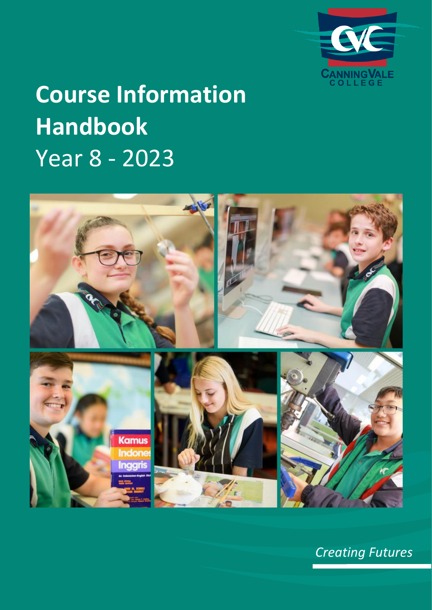

# **Course Information Handbook** Year 8 - 2023



*Creating Futures*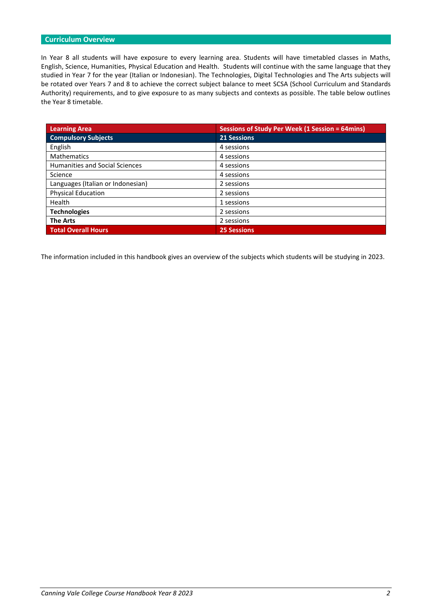# **Curriculum Overview**

In Year 8 all students will have exposure to every learning area. Students will have timetabled classes in Maths, English, Science, Humanities, Physical Education and Health. Students will continue with the same language that they studied in Year 7 for the year (Italian or Indonesian). The Technologies, Digital Technologies and The Arts subjects will be rotated over Years 7 and 8 to achieve the correct subject balance to meet SCSA (School Curriculum and Standards Authority) requirements, and to give exposure to as many subjects and contexts as possible. The table below outlines the Year 8 timetable.

| <b>Learning Area</b>                  | Sessions of Study Per Week (1 Session = 64mins) |
|---------------------------------------|-------------------------------------------------|
| <b>Compulsory Subjects</b>            | <b>21 Sessions</b>                              |
| English                               | 4 sessions                                      |
| <b>Mathematics</b>                    | 4 sessions                                      |
| <b>Humanities and Social Sciences</b> | 4 sessions                                      |
| Science                               | 4 sessions                                      |
| Languages (Italian or Indonesian)     | 2 sessions                                      |
| <b>Physical Education</b>             | 2 sessions                                      |
| Health                                | 1 sessions                                      |
| <b>Technologies</b>                   | 2 sessions                                      |
| <b>The Arts</b>                       | 2 sessions                                      |
| <b>Total Overall Hours</b>            | <b>25 Sessions</b>                              |

The information included in this handbook gives an overview of the subjects which students will be studying in 2023.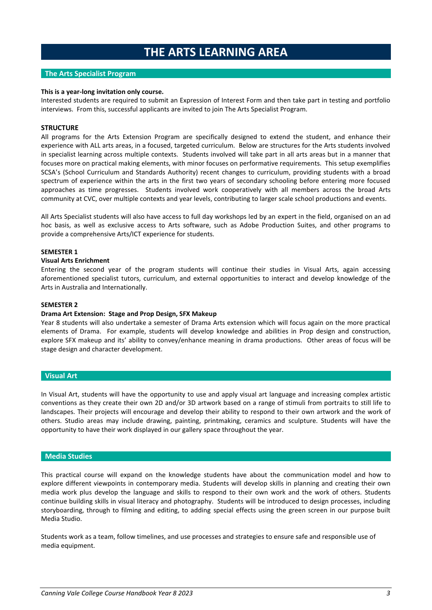# **THE ARTS LEARNING AREA**

# **The Arts Specialist Program**

## **This is a year-long invitation only course.**

Interested students are required to submit an Expression of Interest Form and then take part in testing and portfolio interviews. From this, successful applicants are invited to join The Arts Specialist Program.

# **STRUCTURE**

All programs for the Arts Extension Program are specifically designed to extend the student, and enhance their experience with ALL arts areas, in a focused, targeted curriculum. Below are structures for the Arts students involved in specialist learning across multiple contexts. Students involved will take part in all arts areas but in a manner that focuses more on practical making elements, with minor focuses on performative requirements. This setup exemplifies SCSA's (School Curriculum and Standards Authority) recent changes to curriculum, providing students with a broad spectrum of experience within the arts in the first two years of secondary schooling before entering more focused approaches as time progresses. Students involved work cooperatively with all members across the broad Arts community at CVC, over multiple contexts and year levels, contributing to larger scale school productions and events.

All Arts Specialist students will also have access to full day workshops led by an expert in the field, organised on an ad hoc basis, as well as exclusive access to Arts software, such as Adobe Production Suites, and other programs to provide a comprehensive Arts/ICT experience for students.

## **SEMESTER 1**

#### **Visual Arts Enrichment**

Entering the second year of the program students will continue their studies in Visual Arts, again accessing aforementioned specialist tutors, curriculum, and external opportunities to interact and develop knowledge of the Arts in Australia and Internationally.

#### **SEMESTER 2**

#### **Drama Art Extension: Stage and Prop Design, SFX Makeup**

Year 8 students will also undertake a semester of Drama Arts extension which will focus again on the more practical elements of Drama. For example, students will develop knowledge and abilities in Prop design and construction, explore SFX makeup and its' ability to convey/enhance meaning in drama productions. Other areas of focus will be stage design and character development.

## **Visual Art**

In Visual Art, students will have the opportunity to use and apply visual art language and increasing complex artistic conventions as they create their own 2D and/or 3D artwork based on a range of stimuli from portraits to still life to landscapes. Their projects will encourage and develop their ability to respond to their own artwork and the work of others. Studio areas may include drawing, painting, printmaking, ceramics and sculpture. Students will have the opportunity to have their work displayed in our gallery space throughout the year.

#### **Media Studies**

This practical course will expand on the knowledge students have about the communication model and how to explore different viewpoints in contemporary media. Students will develop skills in planning and creating their own media work plus develop the language and skills to respond to their own work and the work of others. Students continue building skills in visual literacy and photography. Students will be introduced to design processes, including storyboarding, through to filming and editing, to adding special effects using the green screen in our purpose built Media Studio.

Students work as a team, follow timelines, and use processes and strategies to ensure safe and responsible use of media equipment.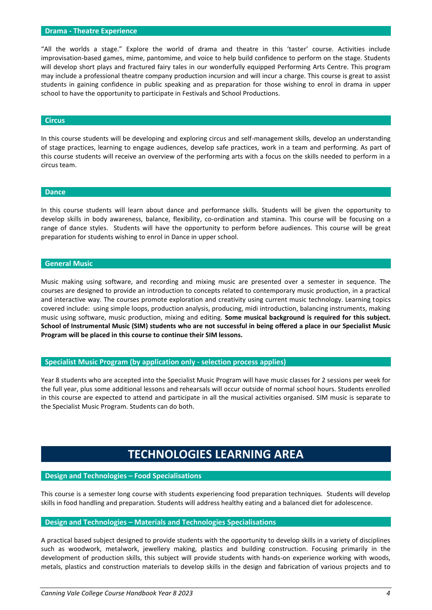#### **Drama - Theatre Experience**

"All the worlds a stage." Explore the world of drama and theatre in this 'taster' course. Activities include improvisation-based games, mime, pantomime, and voice to help build confidence to perform on the stage. Students will develop short plays and fractured fairy tales in our wonderfully equipped Performing Arts Centre. This program may include a professional theatre company production incursion and will incur a charge. This course is great to assist students in gaining confidence in public speaking and as preparation for those wishing to enrol in drama in upper school to have the opportunity to participate in Festivals and School Productions.

#### **Circus**

In this course students will be developing and exploring circus and self-management skills, develop an understanding of stage practices, learning to engage audiences, develop safe practices, work in a team and performing. As part of this course students will receive an overview of the performing arts with a focus on the skills needed to perform in a circus team.

#### **Dance**

In this course students will learn about dance and performance skills. Students will be given the opportunity to develop skills in body awareness, balance, flexibility, co-ordination and stamina. This course will be focusing on a range of dance styles. Students will have the opportunity to perform before audiences. This course will be great preparation for students wishing to enrol in Dance in upper school.

#### **General Music**

Music making using software, and recording and mixing music are presented over a semester in sequence. The courses are designed to provide an introduction to concepts related to contemporary music production, in a practical and interactive way. The courses promote exploration and creativity using current music technology. Learning topics covered include: using simple loops, production analysis, producing, midi introduction, balancing instruments, making music using software, music production, mixing and editing. **Some musical background is required for this subject. School of Instrumental Music (SIM) students who are not successful in being offered a place in our Specialist Music Program will be placed in this course to continue their SIM lessons.**

## **Specialist Music Program (by application only - selection process applies)**

Year 8 students who are accepted into the Specialist Music Program will have music classes for 2 sessions per week for the full year, plus some additional lessons and rehearsals will occur outside of normal school hours. Students enrolled in this course are expected to attend and participate in all the musical activities organised. SIM music is separate to the Specialist Music Program. Students can do both.

# **TECHNOLOGIES LEARNING AREA**

#### **Design and Technologies – Food Specialisations**

This course is a semester long course with students experiencing food preparation techniques. Students will develop skills in food handling and preparation. Students will address healthy eating and a balanced diet for adolescence.

#### **Design and Technologies – Materials and Technologies Specialisations**

A practical based subject designed to provide students with the opportunity to develop skills in a variety of disciplines such as woodwork, metalwork, jewellery making, plastics and building construction. Focusing primarily in the development of production skills, this subject will provide students with hands-on experience working with woods, metals, plastics and construction materials to develop skills in the design and fabrication of various projects and to